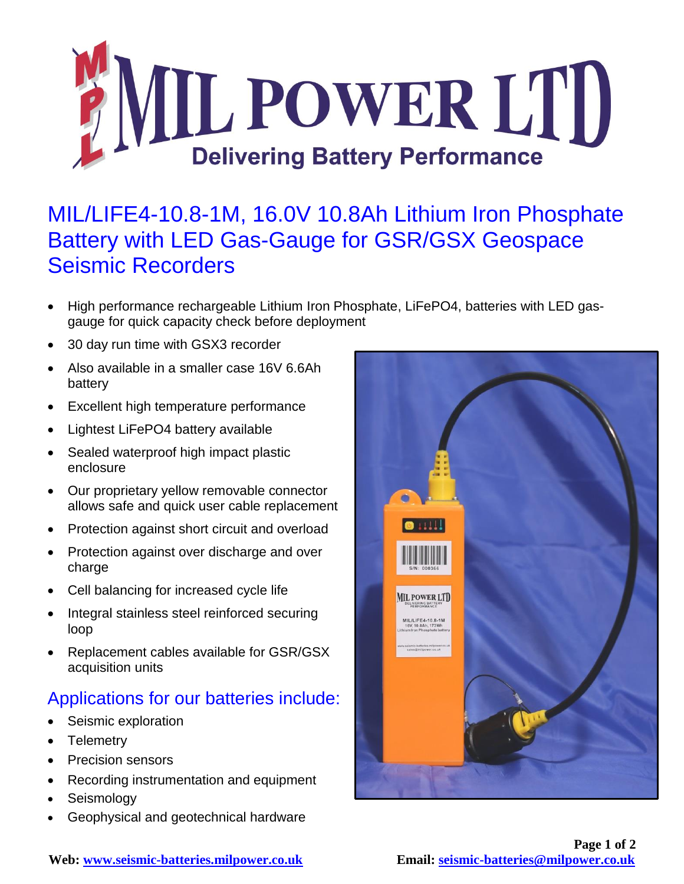

## MIL/LIFE4-10.8-1M, 16.0V 10.8Ah Lithium Iron Phosphate Battery with LED Gas-Gauge for GSR/GSX Geospace Seismic Recorders

- High performance rechargeable Lithium Iron Phosphate, LiFePO4, batteries with LED gasgauge for quick capacity check before deployment
- 30 day run time with GSX3 recorder
- Also available in a smaller case 16V 6.6Ah battery
- Excellent high temperature performance
- Lightest LiFePO4 battery available
- Sealed waterproof high impact plastic enclosure
- Our proprietary yellow removable connector allows safe and quick user cable replacement
- Protection against short circuit and overload
- Protection against over discharge and over charge
- Cell balancing for increased cycle life
- Integral stainless steel reinforced securing loop
- Replacement cables available for GSR/GSX acquisition units

## Applications for our batteries include:

- Seismic exploration
- Telemetry
- Precision sensors
- Recording instrumentation and equipment
- Seismology
- Geophysical and geotechnical hardware